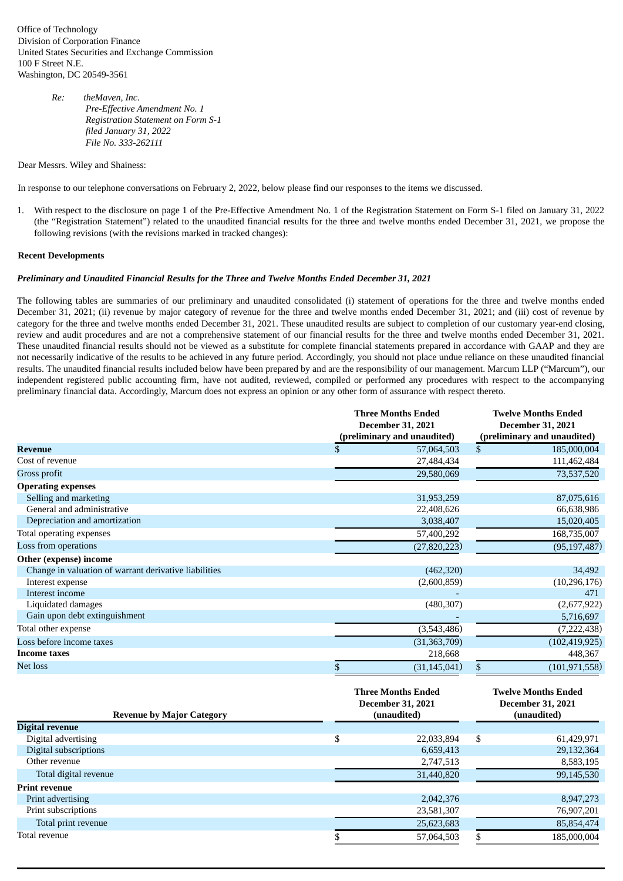Office of Technology Division of Corporation Finance United States Securities and Exchange Commission 100 F Street N.E. Washington, DC 20549-3561

> *Re: theMaven, Inc. Pre-Effective Amendment No. 1 Registration Statement on Form S-1 filed January 31, 2022 File No. 333-262111*

Dear Messrs. Wiley and Shainess:

In response to our telephone conversations on February 2, 2022, below please find our responses to the items we discussed.

1. With respect to the disclosure on page 1 of the Pre-Effective Amendment No. 1 of the Registration Statement on Form S-1 filed on January 31, 2022 (the "Registration Statement") related to the unaudited financial results for the three and twelve months ended December 31, 2021, we propose the following revisions (with the revisions marked in tracked changes):

## **Recent Developments**

## *Preliminary and Unaudited Financial Results for the Three and Twelve Months Ended December 31, 2021*

The following tables are summaries of our preliminary and unaudited consolidated (i) statement of operations for the three and twelve months ended December 31, 2021; (ii) revenue by major category of revenue for the three and twelve months ended December 31, 2021; and (iii) cost of revenue by category for the three and twelve months ended December 31, 2021. These unaudited results are subject to completion of our customary year-end closing, review and audit procedures and are not a comprehensive statement of our financial results for the three and twelve months ended December 31, 2021. These unaudited financial results should not be viewed as a substitute for complete financial statements prepared in accordance with GAAP and they are not necessarily indicative of the results to be achieved in any future period. Accordingly, you should not place undue reliance on these unaudited financial results. The unaudited financial results included below have been prepared by and are the responsibility of our management. Marcum LLP ("Marcum"), our independent registered public accounting firm, have not audited, reviewed, compiled or performed any procedures with respect to the accompanying preliminary financial data. Accordingly, Marcum does not express an opinion or any other form of assurance with respect thereto.

|                                                       | <b>Three Months Ended</b><br><b>December 31, 2021</b><br>(preliminary and unaudited) |                                                                      | <b>Twelve Months Ended</b><br><b>December 31, 2021</b><br>(preliminary and unaudited) |                                                                       |
|-------------------------------------------------------|--------------------------------------------------------------------------------------|----------------------------------------------------------------------|---------------------------------------------------------------------------------------|-----------------------------------------------------------------------|
| <b>Revenue</b>                                        | $\mathbf{\$}$                                                                        | 57,064,503                                                           | $\mathbf{s}$                                                                          | 185,000,004                                                           |
| Cost of revenue                                       |                                                                                      | 27,484,434                                                           |                                                                                       | 111,462,484                                                           |
| Gross profit                                          |                                                                                      | 29.580.069                                                           |                                                                                       | 73,537,520                                                            |
| <b>Operating expenses</b>                             |                                                                                      |                                                                      |                                                                                       |                                                                       |
| Selling and marketing                                 |                                                                                      | 31,953,259                                                           |                                                                                       | 87,075,616                                                            |
| General and administrative                            |                                                                                      | 22,408,626                                                           |                                                                                       | 66,638,986                                                            |
| Depreciation and amortization                         |                                                                                      | 3,038,407                                                            |                                                                                       | 15,020,405                                                            |
| Total operating expenses                              |                                                                                      | 57,400,292                                                           |                                                                                       | 168,735,007                                                           |
| Loss from operations                                  |                                                                                      | (27, 820, 223)                                                       |                                                                                       | (95, 197, 487)                                                        |
| Other (expense) income                                |                                                                                      |                                                                      |                                                                                       |                                                                       |
| Change in valuation of warrant derivative liabilities |                                                                                      | (462, 320)                                                           |                                                                                       | 34,492                                                                |
| Interest expense                                      |                                                                                      | (2,600,859)                                                          |                                                                                       | (10, 296, 176)                                                        |
| Interest income                                       |                                                                                      |                                                                      |                                                                                       | 471                                                                   |
| Liquidated damages                                    |                                                                                      | (480, 307)                                                           |                                                                                       | (2,677,922)                                                           |
| Gain upon debt extinguishment                         |                                                                                      |                                                                      |                                                                                       | 5,716,697                                                             |
| Total other expense                                   |                                                                                      | (3,543,486)                                                          |                                                                                       | (7, 222, 438)                                                         |
| Loss before income taxes                              |                                                                                      | (31, 363, 709)                                                       |                                                                                       | (102, 419, 925)                                                       |
| <b>Income taxes</b>                                   |                                                                                      | 218,668                                                              |                                                                                       | 448,367                                                               |
| <b>Net loss</b><br><b>Revenue by Major Category</b>   | \$                                                                                   | (31, 145, 041)                                                       | \$                                                                                    | (101, 971, 558)                                                       |
|                                                       |                                                                                      | <b>Three Months Ended</b><br><b>December 31, 2021</b><br>(unaudited) |                                                                                       | <b>Twelve Months Ended</b><br><b>December 31, 2021</b><br>(unaudited) |
| <b>Digital revenue</b>                                |                                                                                      |                                                                      |                                                                                       |                                                                       |
| Digital advertising                                   | \$                                                                                   | 22,033,894                                                           | \$                                                                                    | 61,429,971                                                            |
| Digital subscriptions                                 |                                                                                      | 6,659,413                                                            |                                                                                       | 29,132,364                                                            |
| Other revenue                                         |                                                                                      | 2,747,513                                                            |                                                                                       | 8,583,195                                                             |
| Total digital revenue                                 |                                                                                      | 31,440,820                                                           |                                                                                       | 99,145,530                                                            |
| <b>Print revenue</b>                                  |                                                                                      |                                                                      |                                                                                       |                                                                       |
| Print advertising                                     |                                                                                      | 2,042,376                                                            |                                                                                       | 8,947,273                                                             |
| Print subscriptions                                   |                                                                                      | 23,581,307                                                           |                                                                                       | 76,907,201                                                            |
| Total print revenue                                   |                                                                                      | 25,623,683                                                           |                                                                                       | 85,854,474                                                            |

Total revenue \$ 57,064,503 \$ 185,000,004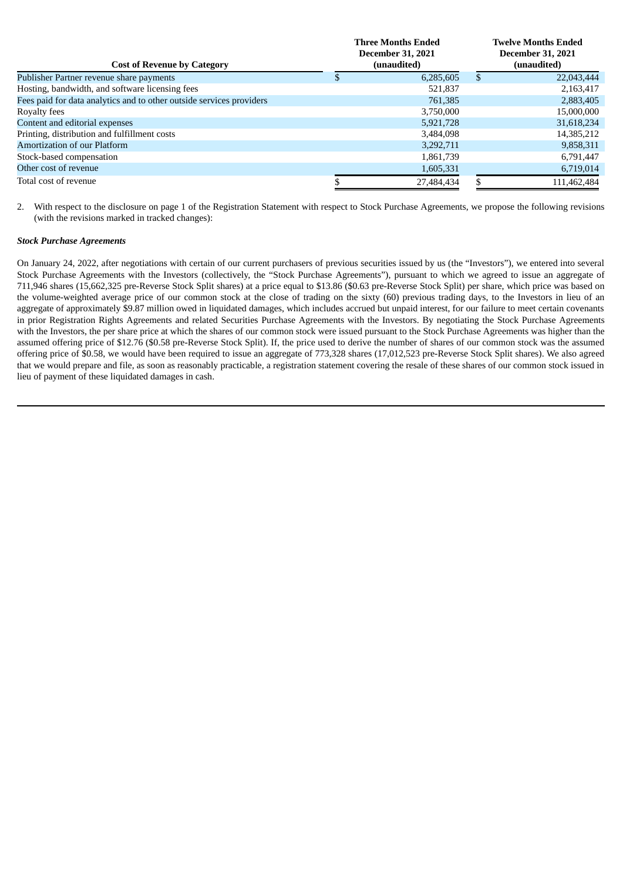|                                                                      | <b>Three Months Ended</b><br><b>December 31, 2021</b><br>(unaudited) |            | <b>Twelve Months Ended</b><br><b>December 31, 2021</b><br>(unaudited) |             |
|----------------------------------------------------------------------|----------------------------------------------------------------------|------------|-----------------------------------------------------------------------|-------------|
| <b>Cost of Revenue by Category</b>                                   |                                                                      |            |                                                                       |             |
| Publisher Partner revenue share payments                             |                                                                      | 6,285,605  |                                                                       | 22,043,444  |
| Hosting, bandwidth, and software licensing fees                      |                                                                      | 521,837    |                                                                       | 2,163,417   |
| Fees paid for data analytics and to other outside services providers |                                                                      | 761,385    |                                                                       | 2,883,405   |
| Royalty fees                                                         |                                                                      | 3,750,000  |                                                                       | 15,000,000  |
| Content and editorial expenses                                       |                                                                      | 5,921,728  |                                                                       | 31,618,234  |
| Printing, distribution and fulfillment costs                         |                                                                      | 3,484,098  |                                                                       | 14,385,212  |
| Amortization of our Platform                                         |                                                                      | 3,292,711  |                                                                       | 9,858,311   |
| Stock-based compensation                                             |                                                                      | 1,861,739  |                                                                       | 6,791,447   |
| Other cost of revenue                                                |                                                                      | 1,605,331  |                                                                       | 6,719,014   |
| Total cost of revenue                                                |                                                                      | 27,484,434 |                                                                       | 111,462,484 |

2. With respect to the disclosure on page 1 of the Registration Statement with respect to Stock Purchase Agreements, we propose the following revisions (with the revisions marked in tracked changes):

## *Stock Purchase Agreements*

On January 24, 2022, after negotiations with certain of our current purchasers of previous securities issued by us (the "Investors"), we entered into several Stock Purchase Agreements with the Investors (collectively, the "Stock Purchase Agreements"), pursuant to which we agreed to issue an aggregate of 711,946 shares (15,662,325 pre-Reverse Stock Split shares) at a price equal to \$13.86 (\$0.63 pre-Reverse Stock Split) per share, which price was based on the volume-weighted average price of our common stock at the close of trading on the sixty (60) previous trading days, to the Investors in lieu of an aggregate of approximately \$9.87 million owed in liquidated damages, which includes accrued but unpaid interest, for our failure to meet certain covenants in prior Registration Rights Agreements and related Securities Purchase Agreements with the Investors. By negotiating the Stock Purchase Agreements with the Investors, the per share price at which the shares of our common stock were issued pursuant to the Stock Purchase Agreements was higher than the assumed offering price of \$12.76 (\$0.58 pre-Reverse Stock Split). If, the price used to derive the number of shares of our common stock was the assumed offering price of \$0.58, we would have been required to issue an aggregate of 773,328 shares (17,012,523 pre-Reverse Stock Split shares). We also agreed that we would prepare and file, as soon as reasonably practicable, a registration statement covering the resale of these shares of our common stock issued in lieu of payment of these liquidated damages in cash.